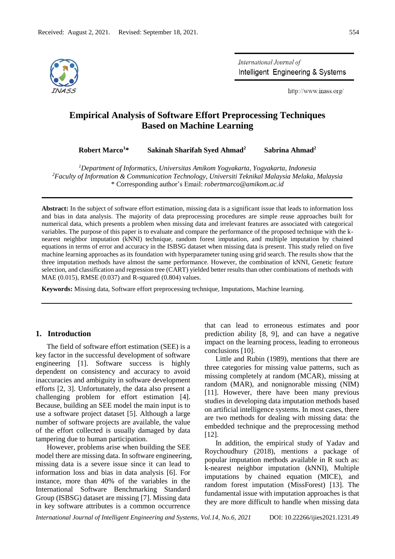

International Journal of Intelligent Engineering & Systems

http://www.inass.org/

# **Empirical Analysis of Software Effort Preprocessing Techniques Based on Machine Learning**

**Robert Marco<sup>1</sup>\* Sakinah Sharifah Syed Ahmad<sup>2</sup> Sabrina Ahmad<sup>2</sup>**

*<sup>1</sup>Department of Informatics, Universitas Amikom Yogyakarta, Yogyakarta, Indonesia <sup>2</sup>Faculty of Information & Communication Technology, Universiti Teknikal Malaysia Melaka, Malaysia* \* Corresponding author's Email: *robertmarco@amikom.ac.id*

**Abstract:** In the subject of software effort estimation, missing data is a significant issue that leads to information loss and bias in data analysis. The majority of data preprocessing procedures are simple reuse approaches built for numerical data, which presents a problem when missing data and irrelevant features are associated with categorical variables. The purpose of this paper is to evaluate and compare the performance of the proposed technique with the knearest neighbor imputation (kNNI) technique, random forest imputation, and multiple imputation by chained equations in terms of error and accuracy in the ISBSG dataset when missing data is present. This study relied on five machine learning approaches as its foundation with hyperparameter tuning using grid search. The results show that the three imputation methods have almost the same performance. However, the combination of kNNI, Genetic feature selection, and classification and regression tree (CART) yielded better results than other combinations of methods with MAE (0.015), RMSE (0.037) and R-squared (0.804) values.

**Keywords:** Missing data, Software effort preprocessing technique, Imputations, Machine learning.

# **1. Introduction**

The field of software effort estimation (SEE) is a key factor in the successful development of software engineering [1]. Software success is highly dependent on consistency and accuracy to avoid inaccuracies and ambiguity in software development efforts [2, 3]. Unfortunately, the data also present a challenging problem for effort estimation [4]. Because, building an SEE model the main input is to use a software project dataset [5]. Although a large number of software projects are available, the value of the effort collected is usually damaged by data tampering due to human participation.

However, problems arise when building the SEE model there are missing data. In software engineering, missing data is a severe issue since it can lead to information loss and bias in data analysis [6]. For instance, more than 40% of the variables in the International Software Benchmarking Standard Group (ISBSG) dataset are missing [7]. Missing data in key software attributes is a common occurrence

that can lead to erroneous estimates and poor prediction ability [8, 9], and can have a negative impact on the learning process, leading to erroneous conclusions [10].

Little and Rubin (1989), mentions that there are three categories for missing value patterns, such as missing completely at random (MCAR), missing at random (MAR), and nonignorable missing (NIM) [11]. However, there have been many previous studies in developing data imputation methods based on artificial intelligence systems. In most cases, there are two methods for dealing with missing data: the embedded technique and the preprocessing method [12].

In addition, the empirical study of Yadav and Roychoudhury (2018), mentions a package of popular imputation methods available in R such as: k-nearest neighbor imputation (kNNI), Multiple imputations by chained equation (MICE), and random forest imputation (MissForest) [13]. The fundamental issue with imputation approaches is that they are more difficult to handle when missing data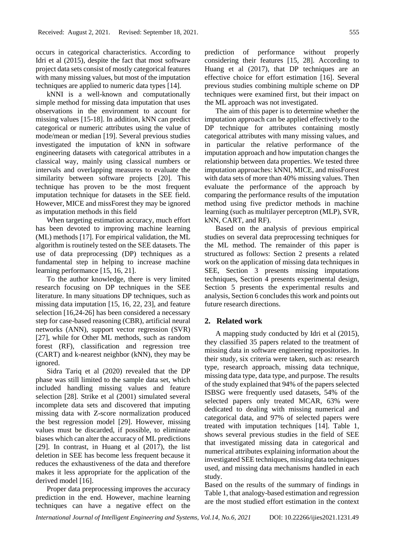occurs in categorical characteristics. According to Idri et al (2015), despite the fact that most software project data sets consist of mostly categorical features with many missing values, but most of the imputation techniques are applied to numeric data types [14].

kNNI is a well-known and computationally simple method for missing data imputation that uses observations in the environment to account for missing values [15-18]. In addition, kNN can predict categorical or numeric attributes using the value of mode/mean or median [19]. Several previous studies investigated the imputation of kNN in software engineering datasets with categorical attributes in a classical way, mainly using classical numbers or intervals and overlapping measures to evaluate the similarity between software projects [20]. This technique has proven to be the most frequent imputation technique for datasets in the SEE field. However, MICE and missForest they may be ignored as imputation methods in this field

When targeting estimation accuracy, much effort has been devoted to improving machine learning (ML) methods [17]. For empirical validation, the ML algorithm is routinely tested on the SEE datasets. The use of data preprocessing (DP) techniques as a fundamental step in helping to increase machine learning performance [15, 16, 21].

To the author knowledge, there is very limited research focusing on DP techniques in the SEE literature. In many situations DP techniques, such as missing data imputation [15, 16, 22, 23], and feature selection [16,24-26] has been considered a necessary step for case-based reasoning (CBR), artificial neural networks (ANN), support vector regression (SVR) [27], while for Other ML methods, such as random forest (RF), classification and regression tree (CART) and k-nearest neighbor (kNN), they may be ignored.

Sidra Tariq et al (2020) revealed that the DP phase was still limited to the sample data set, which included handling missing values and feature selection [28]. Strike et al (2001) simulated several incomplete data sets and discovered that imputing missing data with Z-score normalization produced the best regression model [29]. However, missing values must be discarded, if possible, to eliminate biases which can alter the accuracy of ML predictions [29]. In contrast, in Huang et al (2017), the list deletion in SEE has become less frequent because it reduces the exhaustiveness of the data and therefore makes it less appropriate for the application of the derived model [16].

Proper data preprocessing improves the accuracy prediction in the end. However, machine learning techniques can have a negative effect on the

prediction of performance without properly considering their features [15, 28]. According to Huang et al (2017), that DP techniques are an effective choice for effort estimation [16]. Several previous studies combining multiple scheme on DP techniques were examined first, but their impact on the ML approach was not investigated.

The aim of this paper is to determine whether the imputation approach can be applied effectively to the DP technique for attributes containing mostly categorical attributes with many missing values, and in particular the relative performance of the imputation approach and how imputation changes the relationship between data properties. We tested three imputation approaches: kNNI, MICE, and missForest with data sets of more than 40% missing values. Then evaluate the performance of the approach by comparing the performance results of the imputation method using five predictor methods in machine learning (such as multilayer perceptron (MLP), SVR, kNN, CART, and RF).

Based on the analysis of previous empirical studies on several data preprocessing techniques for the ML method. The remainder of this paper is structured as follows: Section 2 presents a related work on the application of missing data techniques in SEE, Section 3 presents missing imputations techniques, Section 4 presents experimental design, Section 5 presents the experimental results and analysis, Section 6 concludes this work and points out future research directions.

# **2. Related work**

A mapping study conducted by Idri et al (2015), they classified 35 papers related to the treatment of missing data in software engineering repositories. In their study, six criteria were taken, such as: research type, research approach, missing data technique, missing data type, data type, and purpose. The results of the study explained that 94% of the papers selected ISBSG were frequently used datasets, 54% of the selected papers only treated MCAR, 63% were dedicated to dealing with missing numerical and categorical data, and 97% of selected papers were treated with imputation techniques [14]. Table 1, shows several previous studies in the field of SEE that investigated missing data in categorical and numerical attributes explaining information about the investigated SEE techniques, missing data techniques used, and missing data mechanisms handled in each study.

Based on the results of the summary of findings in Table 1, that analogy-based estimation and regression are the most studied effort estimation in the context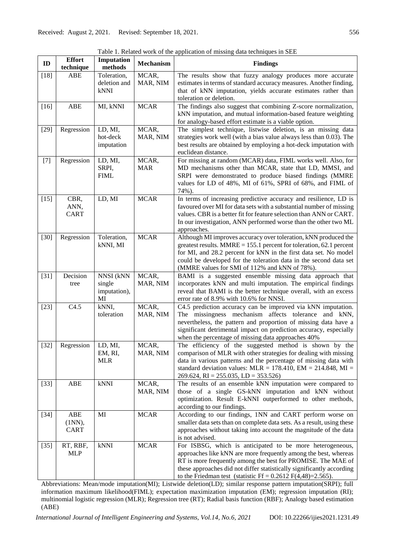٦

Table 1. Related work of the application of missing data techniques in SEE

| ID     | <b>Effort</b><br>technique  | Imputation<br>$\bf{methods}$               | Mechanism           | <b>Findings</b>                                                                                                                                                                                                                                                                                                                        |  |  |  |
|--------|-----------------------------|--------------------------------------------|---------------------|----------------------------------------------------------------------------------------------------------------------------------------------------------------------------------------------------------------------------------------------------------------------------------------------------------------------------------------|--|--|--|
| $[18]$ | <b>ABE</b>                  | Toleration,<br>deletion and<br><b>kNNI</b> | MCAR,<br>MAR, NIM   | The results show that fuzzy analogy produces more accurate<br>estimates in terms of standard accuracy measures. Another finding,<br>that of kNN imputation, yields accurate estimates rather than<br>toleration or deletion.                                                                                                           |  |  |  |
| $[16]$ | ABE                         | MI, kNNI                                   | <b>MCAR</b>         | The findings also suggest that combining Z-score normalization,<br>kNN imputation, and mutual information-based feature weighting<br>for analogy-based effort estimate is a viable option.                                                                                                                                             |  |  |  |
| $[29]$ | Regression                  | LD, MI,<br>hot-deck<br>imputation          | MCAR,<br>MAR, NIM   | The simplest technique, listwise deletion, is an missing data<br>strategies work well (with a bias value always less than 0.03). The<br>best results are obtained by employing a hot-deck imputation with<br>euclidean distance.                                                                                                       |  |  |  |
| $[7]$  | Regression                  | LD, MI,<br>SRPI,<br><b>FIML</b>            | MCAR,<br><b>MAR</b> | For missing at random (MCAR) data, FIML works well. Also, for<br>MD mechanisms other than MCAR, state that LD, MMSI, and<br>SRPI were demonstrated to produce biased findings (MMRE<br>values for LD of 48%, MI of 61%, SPRI of 68%, and FIML of<br>74%).                                                                              |  |  |  |
| $[15]$ | CBR,<br>ANN,<br><b>CART</b> | LD, MI                                     | <b>MCAR</b>         | In terms of increasing predictive accuracy and resilience, LD is<br>favoured over MI for data sets with a substantial number of missing<br>values. CBR is a better fit for feature selection than ANN or CART.<br>In our investigation, ANN performed worse than the other two ML<br>approaches.                                       |  |  |  |
| $[30]$ | Regression                  | Toleration,<br>kNNI, MI                    | <b>MCAR</b>         | Although MI improves accuracy over toleration, kNN produced the<br>greatest results. $MMRE = 155.1$ percent for toleration, 62.1 percent<br>for MI, and 28.2 percent for kNN in the first data set. No model<br>could be developed for the toleration data in the second data set<br>(MMRE values for SMI of 112% and kNN of 78%).     |  |  |  |
| $[31]$ | Decision<br>tree            | NNSI (kNN<br>single<br>imputation),<br>MI  | MCAR,<br>MAR, NIM   | BAMI is a suggested ensemble missing data approach that<br>incorporates kNN and multi imputation. The empirical findings<br>reveal that BAMI is the better technique overall, with an excess<br>error rate of 8.9% with 10.6% for NNSI.                                                                                                |  |  |  |
| $[23]$ | C4.5                        | kNNI,<br>toleration                        | MCAR,<br>MAR, NIM   | C4.5 prediction accuracy can be improved via kNN imputation.<br>The missingness mechanism affects tolerance and kNN,<br>nevertheless, the pattern and proportion of missing data have a<br>significant detrimental impact on prediction accuracy, especially<br>when the percentage of missing data approaches 40%                     |  |  |  |
| $[32]$ | Regression                  | LD, MI,<br>EM, RI,<br><b>MLR</b>           | MCAR,<br>MAR, NIM   | The efficiency of the suggested method is shown by the<br>comparison of MLR with other strategies for dealing with missing<br>data in various patterns and the percentage of missing data with<br>standard deviation values: $MLR = 178.410$ , $EM = 214.848$ , $MI =$<br>$269.624$ , RI = 255.035, LD = 353.526)                      |  |  |  |
| $[33]$ | ABE                         | $\mathbf k\mathbf N\mathbf N\mathbf I$     | MCAR,<br>MAR, NIM   | The results of an ensemble kNN imputation were compared to<br>those of a single GS-kNN imputation and kNN without<br>optimization. Result E-kNNI outperformed to other methods,<br>according to our findings.                                                                                                                          |  |  |  |
| $[34]$ | ABE<br>$(1NN)$ ,<br>CART    | MI                                         | <b>MCAR</b>         | According to our findings, 1NN and CART perform worse on<br>smaller data sets than on complete data sets. As a result, using these<br>approaches without taking into account the magnitude of the data<br>is not advised.                                                                                                              |  |  |  |
| $[35]$ | RT, RBF,<br><b>MLP</b>      | $\mathbf{kNNI}$                            | <b>MCAR</b>         | For ISBSG, which is anticipated to be more heterogeneous,<br>approaches like kNN are more frequently among the best, whereas<br>RT is more frequently among the best for PROMISE. The MAE of<br>these approaches did not differ statistically significantly according<br>to the Friedman test (statistic Ff = $0.2612$ F(4,48)=2.565). |  |  |  |

Abbreviations: Mean/mode imputation(MI); Listwide deletion(LD); similar response pattern imputation(SRPI); full information maximum likelihood(FIML); expectation maximization imputation (EM); regression imputation (RI); multinomial logistic regression (MLR); Regression tree (RT); Radial basis function (RBF); Analogy based estimation (ABE)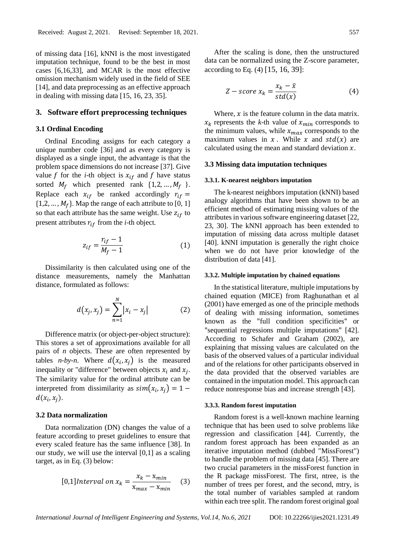of missing data [16], kNNI is the most investigated imputation technique, found to be the best in most cases [6,16,33], and MCAR is the most effective omission mechanism widely used in the field of SEE [14], and data preprocessing as an effective approach in dealing with missing data [15, 16, 23, 35].

### **3. Software effort preprocessing techniques**

# **3.1 Ordinal Encoding**

Ordinal Encoding assigns for each category a unique number code [36] and as every category is displayed as a single input, the advantage is that the problem space dimensions do not increase [37]. Give value f for the *i*-th object is  $x_{if}$  and f have status sorted  $M_f$  which presented rank  $\{1,2,...,M_f\}$ . Replace each  $x_{if}$  be ranked accordingly  $r_{if}$  =  $\{1,2,\ldots,M_f\}$ . Map the range of each attribute to [0, 1] so that each attribute has the same weight. Use  $z_{if}$  to present attributes  $r_{if}$  from the *i*-th object.

$$
z_{if} = \frac{r_{if} - 1}{M_f - 1} \tag{1}
$$

Dissimilarity is then calculated using one of the distance measurements, namely the Manhattan distance, formulated as follows:

$$
d(x_j, x_j) = \sum_{n=1}^{N} |x_i - x_j|
$$
 (2)

Difference matrix (or object-per-object structure): This stores a set of approximations available for all pairs of *n* objects. These are often represented by tables *n-by-n*. Where  $d(x_i, x_j)$  is the measured inequality or "difference" between objects  $x_i$  and  $x_j$ . The similarity value for the ordinal attribute can be interpreted from dissimilarity as  $sim(x_i, x_j) = 1$  $d(x_i, x_j)$ .

### **3.2 Data normalization**

Data normalization (DN) changes the value of a feature according to preset guidelines to ensure that every scaled feature has the same influence [38]. In our study, we will use the interval [0,1] as a scaling target, as in Eq. (3) below:

[0,1] Interval on 
$$
x_k = \frac{x_k - x_{min}}{x_{max} - x_{min}}
$$
 (3)

After the scaling is done, then the unstructured data can be normalized using the Z-score parameter, according to Eq. (4) [15, 16, 39]:

$$
Z - score x_k = \frac{x_k - \bar{x}}{std(x)}
$$
 (4)

Where,  $x$  is the feature column in the data matrix.  $x_k$  represents the *k*-th value of  $x_{min}$  corresponds to the minimum values, while  $x_{max}$  corresponds to the maximum values in x. While x and  $std(x)$  are calculated using the mean and standard deviation  $x$ .

# **3.3 Missing data imputation techniques**

#### **3.3.1. K-nearest neighbors imputation**

The k-nearest neighbors imputation (kNNI) based analogy algorithms that have been shown to be an efficient method of estimating missing values of the attributes in various software engineering dataset [22, 23, 30]. The kNNI approach has been extended to imputation of missing data across multiple dataset [40]. kNNI imputation is generally the right choice when we do not have prior knowledge of the distribution of data [41].

### **3.3.2. Multiple imputation by chained equations**

In the statistical literature, multiple imputations by chained equation (MICE) from Raghunathan et al (2001) have emerged as one of the principle methods of dealing with missing information, sometimes known as the "full condition specificities" or "sequential regressions multiple imputations" [42]. According to Schafer and Graham (2002), are explaining that missing values are calculated on the basis of the observed values of a particular individual and of the relations for other participants observed in the data provided that the observed variables are contained in the imputation model. This approach can reduce nonresponse bias and increase strength [43].

#### **3.3.3. Random forest imputation**

Random forest is a well-known machine learning technique that has been used to solve problems like regression and classification [44]. Currently, the random forest approach has been expanded as an iterative imputation method (dubbed "MissForest") to handle the problem of missing data [45]. There are two crucial parameters in the missForest function in the R package missForest. The first, ntree, is the number of trees per forest, and the second, mtry, is the total number of variables sampled at random within each tree split. The random forest original goal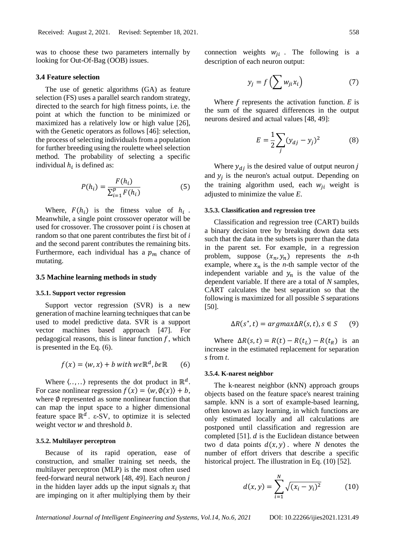was to choose these two parameters internally by looking for Out-Of-Bag (OOB) issues.

### **3.4 Feature selection**

The use of genetic algorithms (GA) as feature selection (FS) uses a parallel search random strategy, directed to the search for high fitness points, i.e. the point at which the function to be minimized or maximized has a relatively low or high value [26], with the Genetic operators as follows [46]: selection, the process of selecting individuals from a population for further breeding using the roulette wheel selection method. The probability of selecting a specific individual  $h_i$  is defined as:

$$
P(h_i) = \frac{F(h_i)}{\sum_{i=1}^{p} F(h_i)}
$$
(5)

Where,  $F(h_i)$  is the fitness value of  $h_i$ . Meanwhile, a single point crossover operator will be used for crossover. The crossover point *i* is chosen at random so that one parent contributes the first bit of *i* and the second parent contributes the remaining bits. Furthermore, each individual has a  $p_m$  chance of mutating.

#### **3.5 Machine learning methods in study**

### **3.5.1. Support vector regression**

Support vector regression (SVR) is a new generation of machine learning techniques that can be used to model predictive data. SVR is a support vector machines based approach [47]. For pedagogical reasons, this is linear function  $f$ , which is presented in the Eq. (6).

$$
f(x) = \langle w, x \rangle + b \text{ with } w \in \mathbb{R}^d, b \in \mathbb{R} \qquad (6)
$$

Where  $\langle \ldots, \ldots \rangle$  represents the dot product in  $\mathbb{R}^d$ . For case nonlinear regression  $f(x) = \langle w, \phi(x) \rangle + b$ , where  $\emptyset$  represented as some nonlinear function that can map the input space to a higher dimensional feature space  $\mathbb{R}^d$ . ε-SV, to optimize it is selected weight vector  $w$  and threshold  $b$ .

### **3.5.2. Multilayer perceptron**

Because of its rapid operation, ease of construction, and smaller training set needs, the multilayer perceptron (MLP) is the most often used feed-forward neural network [48, 49]. Each neuron in the hidden layer adds up the input signals  $x_i$  that are impinging on it after multiplying them by their

connection weights  $w_{ji}$ . The following is a description of each neuron output:

$$
y_j = f\left(\sum w_{ji} x_i\right) \tag{7}
$$

Where  $f$  represents the activation function.  $E$  is the sum of the squared differences in the output neurons desired and actual values [48, 49]:

$$
E = \frac{1}{2} \sum_{j} (y_{dj} - y_j)^2
$$
 (8)

Where  $y_{di}$  is the desired value of output neuron j and  $y_j$  is the neuron's actual output. Depending on the training algorithm used, each  $w_{ii}$  weight is adjusted to minimize the value *E*.

### **3.5.3. Classification and regression tree**

Classification and regression tree (CART) builds a binary decision tree by breaking down data sets such that the data in the subsets is purer than the data in the parent set. For example, in a regression problem, suppose  $(x_n, y_n)$  represents the *n*-th example, where  $x_n$  is the *n*-th sample vector of the independent variable and  $y_n$  is the value of the dependent variable. If there are a total of *N* samples, CART calculates the best separation so that the following is maximized for all possible *S* separations [50].

$$
\Delta R(s^*,t) = argmax \Delta R(s,t), s \in S \qquad (9)
$$

Where  $\Delta R(s, t) = R(t) - R(t_L) - R(t_R)$  is an increase in the estimated replacement for separation *s* from *t*.

#### **3.5.4. K-narest neighbor**

The k-nearest neighbor (kNN) approach groups objects based on the feature space's nearest training sample. kNN is a sort of example-based learning, often known as lazy learning, in which functions are only estimated locally and all calculations are postponed until classification and regression are completed [51].  $d$  is the Euclidean distance between two d data points  $d(x, y)$ . where *N* denotes the number of effort drivers that describe a specific historical project. The illustration in Eq.  $(10)$  [52].

$$
d(x,y) = \sum_{i=1}^{N} \sqrt{(x_i - y_i)^2}
$$
 (10)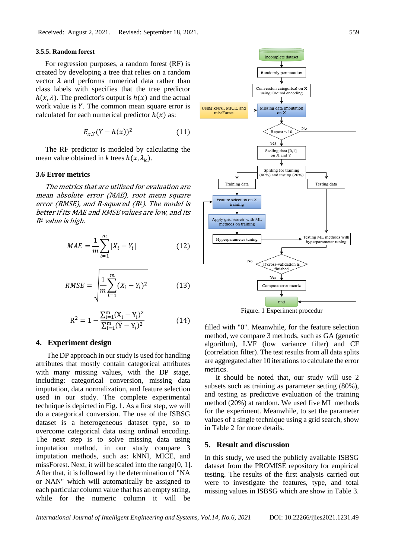### **3.5.5. Random forest**

For regression purposes, a random forest (RF) is created by developing a tree that relies on a random vector  $\lambda$  and performs numerical data rather than class labels with specifies that the tree predictor  $h(x, \lambda)$ . The predictor's output is  $h(x)$  and the actual work value is  $Y$ . The common mean square error is calculated for each numerical predictor  $h(x)$  as:

$$
E_{x,Y}(Y-h(x))^2\tag{11}
$$

The RF predictor is modeled by calculating the mean value obtained in *k* trees  $h(x, \lambda_k)$ .

### **3.6 Error metrics**

The metrics that are utilized for evaluation are mean absolute error (MAE), root mean square error (RMSE), and R-squared ( $R<sup>2</sup>$ ). The model is better if its MAE and RMSE values are low, and its  $R<sup>2</sup>$  value is high.

$$
MAE = \frac{1}{m} \sum_{i=1}^{m} |X_i - Y_i|
$$
 (12)

$$
RMSE = \sqrt{\frac{1}{m} \sum_{i=1}^{m} (X_i - Y_i)^2}
$$
 (13)

$$
R^{2} = 1 - \frac{\sum_{i=1}^{m} (X_{i} - Y_{i})^{2}}{\sum_{i=1}^{m} (\overline{Y} - Y_{i})^{2}}
$$
(14)

# **4. Experiment design**

The DP approach in our study is used for handling attributes that mostly contain categorical attributes with many missing values, with the DP stage, including: categorical conversion, missing data imputation, data normalization, and feature selection used in our study. The complete experimental technique is depicted in Fig. 1. As a first step, we will do a categorical conversion. The use of the ISBSG dataset is a heterogeneous dataset type, so to overcome categorical data using ordinal encoding. The next step is to solve missing data using imputation method, in our study compare 3 imputation methods, such as: kNNI, MICE, and missForest. Next, it will be scaled into the range[0, 1]. After that, it is followed by the determination of "NA or NAN" which will automatically be assigned to each particular column value that has an empty string, while for the numeric column it will be



Figure. 1 Experiment procedur

filled with "0". Meanwhile, for the feature selection method, we compare 3 methods, such as GA (genetic algorithm), LVF (low variance filter) and CF (correlation filter). The test results from all data splits are aggregated after 10 iterations to calculate the error metrics.

It should be noted that, our study will use 2 subsets such as training as parameter setting (80%), and testing as predictive evaluation of the training method (20%) at random. We used five ML methods for the experiment. Meanwhile, to set the parameter values of a single technique using a grid search, show in Table 2 for more details.

# **5. Result and discussion**

In this study, we used the publicly available ISBSG dataset from the PROMISE repository for empirical testing. The results of the first analysis carried out were to investigate the features, type, and total missing values in ISBSG which are show in Table 3.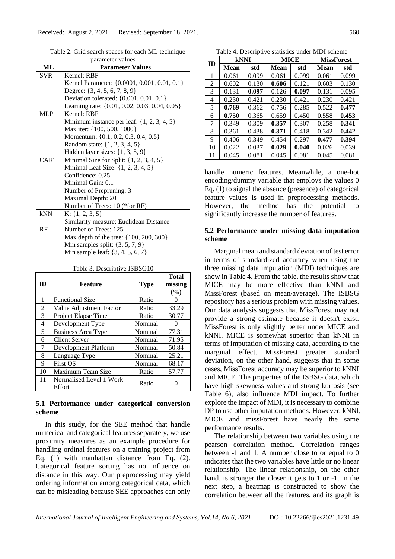Table 2. Grid search spaces for each ML technique parameter values

| ML          | <b>Parameter Values</b>                        |  |  |  |  |  |  |  |
|-------------|------------------------------------------------|--|--|--|--|--|--|--|
| <b>SVR</b>  | Kernel: RBF                                    |  |  |  |  |  |  |  |
|             | Kernel Parameter: {0.0001, 0.001, 0.01, 0.1}   |  |  |  |  |  |  |  |
|             | Degree: $\{3, 4, 5, 6, 7, 8, 9\}$              |  |  |  |  |  |  |  |
|             | Deviation tolerated: {0.001, 0.01, 0.1}        |  |  |  |  |  |  |  |
|             | Learning rate: {0.01, 0.02, 0.03, 0.04, 0.05}  |  |  |  |  |  |  |  |
| MLP         | Kernel: RBF                                    |  |  |  |  |  |  |  |
|             | Minimum instance per leaf: $\{1, 2, 3, 4, 5\}$ |  |  |  |  |  |  |  |
|             | Max iter: {100, 500, 1000}                     |  |  |  |  |  |  |  |
|             | Momentum: {0.1, 0.2, 0.3, 0.4, 0.5}            |  |  |  |  |  |  |  |
|             | Random state: {1, 2, 3, 4, 5}                  |  |  |  |  |  |  |  |
|             | Hidden layer sizes: $\{1, 3, 5, 9\}$           |  |  |  |  |  |  |  |
| <b>CART</b> | Minimal Size for Split: $\{1, 2, 3, 4, 5\}$    |  |  |  |  |  |  |  |
|             | Minimal Leaf Size: $\{1, 2, 3, 4, 5\}$         |  |  |  |  |  |  |  |
|             | Confidence: 0.25                               |  |  |  |  |  |  |  |
|             | Minimal Gain: 0.1                              |  |  |  |  |  |  |  |
|             | Number of Prepruning: 3                        |  |  |  |  |  |  |  |
|             | Maximal Depth: 20                              |  |  |  |  |  |  |  |
|             | Number of Trees: 10 (*for RF)                  |  |  |  |  |  |  |  |
| kNN         | K: $\{1, 2, 3, 5\}$                            |  |  |  |  |  |  |  |
|             | Similarity measure: Euclidean Distance         |  |  |  |  |  |  |  |
| RF          | Number of Trees: 125                           |  |  |  |  |  |  |  |
|             | Max depth of the tree: {100, 200, 300}         |  |  |  |  |  |  |  |
|             | Min samples split: $\{3, 5, 7, 9\}$            |  |  |  |  |  |  |  |
|             | Min sample leaf: {3, 4, 5, 6, 7}               |  |  |  |  |  |  |  |

Table 3. Descriptive ISBSG10

| ID | <b>Feature</b>                    | <b>Type</b> | <b>Total</b><br>missing<br>(%) |
|----|-----------------------------------|-------------|--------------------------------|
| 1  | <b>Functional Size</b>            | Ratio       | 0                              |
| 2  | Value Adjustment Factor           | Ratio       | 33.29                          |
| 3  | Project Elapse Time               | Ratio       | 30.77                          |
| 4  | Development Type                  | Nominal     |                                |
| 5  | <b>Business Area Type</b>         | Nominal     | 77.31                          |
| 6  | <b>Client Server</b>              | Nominal     | 71.95                          |
| 7  | Development Platform              | Nominal     | 50.84                          |
| 8  | Language Type                     | Nominal     | 25.21                          |
| 9  | <b>First OS</b>                   | Nominal     | 68.17                          |
| 10 | Maximum Team Size                 | Ratio       | 57.77                          |
| 11 | Normalised Level 1 Work<br>Effort | Ratio       |                                |

# **5.1 Performance under categorical conversion scheme**

In this study, for the SEE method that handle numerical and categorical features separately, we use proximity measures as an example procedure for handling ordinal features on a training project from Eq. (1) with manhattan distance from Eq. (2). Categorical feature sorting has no influence on distance in this way. Our preprocessing may yield ordering information among categorical data, which can be misleading because SEE approaches can only

Table 4. Descriptive statistics under MDI scheme

| ID | kNNI  |       | MICE  |       | <b>MissForest</b> |       |  |
|----|-------|-------|-------|-------|-------------------|-------|--|
|    | Mean  | std   | Mean  | std   | Mean              | std   |  |
| 1  | 0.061 | 0.099 | 0.061 | 0.099 | 0.061             | 0.099 |  |
| 2  | 0.602 | 0.130 | 0.606 | 0.121 | 0.603             | 0.130 |  |
| 3  | 0.131 | 0.097 | 0.126 | 0.097 | 0.131             | 0.095 |  |
| 4  | 0.230 | 0.421 | 0.230 | 0.421 | 0.230             | 0.421 |  |
| 5  | 0.769 | 0.362 | 0.756 | 0.285 | 0.522             | 0.477 |  |
| 6  | 0.750 | 0.365 | 0.659 | 0.450 | 0.558             | 0.453 |  |
| 7  | 0.349 | 0.309 | 0.357 | 0.307 | 0.258             | 0.341 |  |
| 8  | 0.361 | 0.438 | 0.371 | 0.418 | 0.342             | 0.442 |  |
| 9  | 0.406 | 0.349 | 0.454 | 0.297 | 0.477             | 0.394 |  |
| 10 | 0.022 | 0.037 | 0.029 | 0.040 | 0.026             | 0.039 |  |
| 11 | 0.045 | 0.081 | 0.045 | 0.081 | 0.045             | 0.081 |  |

handle numeric features. Meanwhile, a one-hot encoding/dummy variable that employs the values 0 Eq. (1) to signal the absence (presence) of categorical feature values is used in preprocessing methods. However, the method has the potential to significantly increase the number of features.

# **5.2 Performance under missing data imputation scheme**

Marginal mean and standard deviation of test error in terms of standardized accuracy when using the three missing data imputation (MDI) techniques are show in Table 4. From the table, the results show that MICE may be more effective than kNNI and MissForest (based on mean/average). The ISBSG repository has a serious problem with missing values. Our data analysis suggests that MissForest may not provide a strong estimate because it doesn't exist. MissForest is only slightly better under MICE and kNNI. MICE is somewhat superior than kNNI in terms of imputation of missing data, according to the marginal effect. MissForest greater standard deviation, on the other hand, suggests that in some cases, MissForest accuracy may be superior to kNNI and MICE. The properties of the ISBSG data, which have high skewness values and strong kurtosis (see Table 6), also influence MDI impact. To further explore the impact of MDI, it is necessary to combine DP to use other imputation methods. However, kNNI, MICE and missForest have nearly the same performance results.

The relationship between two variables using the pearson correlation method. Correlation ranges between -1 and 1. A number close to or equal to 0 indicates that the two variables have little or no linear relationship. The linear relationship, on the other hand, is stronger the closer it gets to 1 or -1. In the next step, a heatmap is constructed to show the correlation between all the features, and its graph is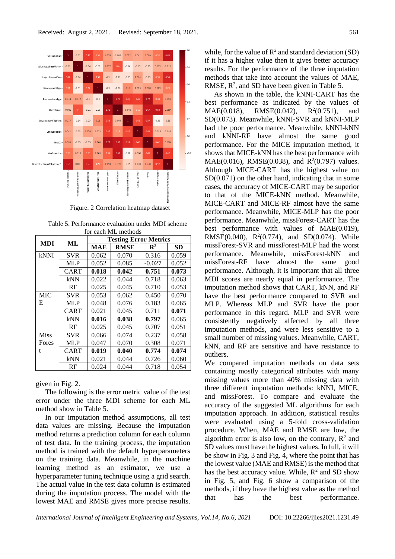

Figure. 2 Correlation heatmap dataset

Table 5. Performance evaluation under MDI scheme for each ML methods

| <b>MDI</b>  | ML          | <b>Testing Error Metrics</b> |                |                |       |  |  |  |
|-------------|-------------|------------------------------|----------------|----------------|-------|--|--|--|
|             |             | MAE                          | <b>RMSE</b>    | $\mathbf{R}^2$ | SD    |  |  |  |
| <b>kNNI</b> | <b>SVR</b>  | 0.062                        | 0.070          | 0.316          | 0.059 |  |  |  |
|             | MLP         | 0.052                        | 0.085          | $-0.027$       | 0.052 |  |  |  |
|             | CART        | 0.018                        | 0.042          | 0.751          | 0.073 |  |  |  |
|             | kNN         | 0.022                        | 0.044          | 0.718          | 0.063 |  |  |  |
| RF          |             | 0.025                        | 0.045<br>0.710 |                | 0.053 |  |  |  |
| <b>MIC</b>  | <b>SVR</b>  | 0.053                        | 0.062          | 0.450          | 0.070 |  |  |  |
| E           | MLP         | 0.048<br>0.076               |                | 0.183          | 0.065 |  |  |  |
|             | CART        | 0.021                        | 0.045          | 0.711          | 0.071 |  |  |  |
|             | kNN         | 0.016                        | 0.038          | 0.797          | 0.065 |  |  |  |
|             | RF          | 0.025                        | 0.045          | 0.707          | 0.051 |  |  |  |
| <b>Miss</b> | <b>SVR</b>  | 0.066                        | 0.074          | 0.237          | 0.058 |  |  |  |
| Fores       | MLP         | 0.047                        | 0.070          | 0.308          | 0.071 |  |  |  |
| t           | <b>CART</b> | 0.019                        | 0.040          | 0.774          | 0.074 |  |  |  |
|             | kNN         | 0.021                        | 0.044          | 0.726          | 0.060 |  |  |  |
|             | RF          | 0.024                        | 0.044          | 0.718          | 0.054 |  |  |  |

given in Fig. 2.

The following is the error metric value of the test error under the three MDI scheme for each ML method show in Table 5.

In our imputation method assumptions, all test data values are missing. Because the imputation method returns a prediction column for each column of test data. In the training process, the imputation method is trained with the default hyperparameters on the training data. Meanwhile, in the machine learning method as an estimator, we use a hyperparameter tuning technique using a grid search. The actual value in the test data column is estimated during the imputation process. The model with the lowest MAE and RMSE gives more precise results.

while, for the value of  $\mathbb{R}^2$  and standard deviation (SD) if it has a higher value then it gives better accuracy results. For the performance of the three imputation methods that take into account the values of MAE, RMSE,  $R^2$ , and SD have been given in Table 5.

As shown in the table, the kNNI-CART has the best performance as indicated by the values of  $MAE(0.018)$ , RMSE $(0.042)$ ,  $R^2(0.751)$ , and SD(0.073). Meanwhile, kNNI-SVR and kNNI-MLP had the poor performance. Meanwhile, kNNI-kNN and kNNI-RF have almost the same good performance. For the MICE imputation method, it shows that MICE-kNN has the best performance with MAE(0.016), RMSE(0.038), and  $R^2(0.797)$  values. Although MICE-CART has the highest value on SD(0.071) on the other hand, indicating that in some cases, the accuracy of MICE-CART may be superior to that of the MICE-kNN method. Meanwhile, MICE-CART and MICE-RF almost have the same performance. Meanwhile, MICE-MLP has the poor performance. Meanwhile, missForest-CART has the best performance with values of MAE(0.019), RMSE(0.040),  $R^2(0.774)$ , and SD(0.074). While missForest-SVR and missForest-MLP had the worst performance. Meanwhile, missForest-kNN and missForest-RF have almost the same good performance. Although, it is important that all three MDI scores are nearly equal in performance. The imputation method shows that CART, kNN, and RF have the best performance compared to SVR and MLP. Whereas MLP and SVR have the poor performance in this regard. MLP and SVR were consistently negatively affected by all three imputation methods, and were less sensitive to a small number of missing values. Meanwhile, CART, kNN, and RF are sensitive and have resistance to outliers.

We compared imputation methods on data sets containing mostly categorical attributes with many missing values more than 40% missing data with three different imputation methods: kNNI, MICE, and missForest. To compare and evaluate the accuracy of the suggested ML algorithms for each imputation approach. In addition, statistical results were evaluated using a 5-fold cross-validation procedure. When, MAE and RMSE are low, the algorithm error is also low, on the contrary,  $R^2$  and SD values must have the highest values. In full, it will be show in Fig. 3 and Fig. 4, where the point that has the lowest value (MAE and RMSE) is the method that has the best accuracy value. While,  $R^2$  and SD show in Fig. 5, and Fig. 6 show a comparison of the methods, if they have the highest value as the method that has the best performance.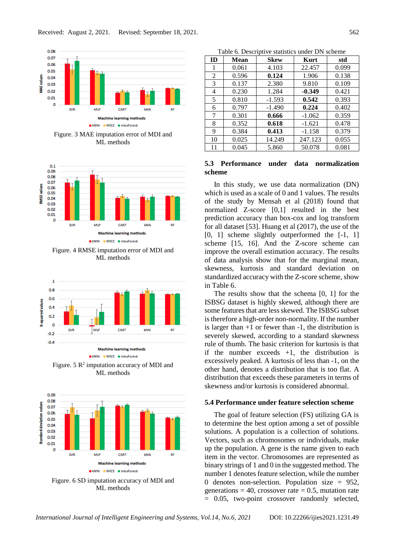

Figure. 3 MAE imputation error of MDI and ML methods



Figure. 4 RMSE imputation error of MDI and ML methods



Figure.  $5 R<sup>2</sup>$  imputation accuracy of MDI and ML methods



Figure. 6 SD imputation accuracy of MDI and ML methods

**ID Mean Skew Kurt std** 1 0.061 4.103 22.457 0.099 2 0.596 **0.124** 1.906 0.138 3 0.137 2.380 9.810 0.109 4 0.230 1.284 **-0.349** 0.421 5 0.810 -1.593 **0.542** 0.393 6 0.797 -1.490 **0.224** 0.402 7 | 0.301 | **0.666** | -1.062 | 0.359 8 0.352 **0.618** -1.621 0.478 9 0.384 **0.413** -1.158 0.379 10 0.025 14.249 247.123 0.055

Table 6. Descriptive statistics under DN scheme

# **5.3 Performance under data normalization scheme**

11 0.045 5.860 50.078 0.081

In this study, we use data normalization (DN) which is used as a scale of 0 and 1 values. The results of the study by Mensah et al (2018) found that normalized Z-score [0,1] resulted in the best prediction accuracy than box-cox and log transform for all dataset [53]. Huang et al (2017), the use of the [0, 1] scheme slightly outperformed the [-1, 1] scheme [15, 16]. And the Z-score scheme can improve the overall estimation accuracy. The results of data analysis show that for the marginal mean, skewness, kurtosis and standard deviation on standardized accuracy with the Z-score scheme, show in Table 6.

The results show that the schema [0, 1] for the ISBSG dataset is highly skewed, although there are some features that are less skewed. The ISBSG subset is therefore a high-order non-normality. If the number is larger than  $+1$  or fewer than  $-1$ , the distribution is severely skewed, according to a standard skewness rule of thumb. The basic criterion for kurtosis is that if the number exceeds  $+1$ , the distribution is excessively peaked. A kurtosis of less than -1, on the other hand, denotes a distribution that is too flat. A distribution that exceeds these parameters in terms of skewness and/or kurtosis is considered abnormal.

# **5.4 Performance under feature selection scheme**

The goal of feature selection (FS) utilizing GA is to determine the best option among a set of possible solutions. A population is a collection of solutions. Vectors, such as chromosomes or individuals, make up the population. A gene is the name given to each item in the vector. Chromosomes are represented as binary strings of 1 and 0 in the suggested method. The number 1 denotes feature selection, while the number 0 denotes non-selection. Population size = 952, generations = 40, crossover rate =  $0.5$ , mutation rate = 0.05, two-point crossover randomly selected,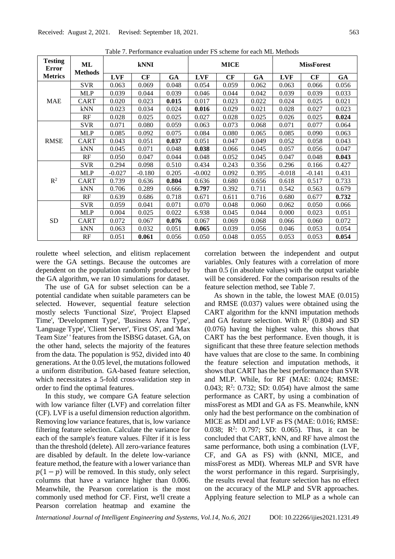| <b>Testing</b><br>Error | ML<br><b>Methods</b> | <b>kNNI</b> |          |           | <b>MICE</b> |       |           | <b>MissForest</b> |          |           |
|-------------------------|----------------------|-------------|----------|-----------|-------------|-------|-----------|-------------------|----------|-----------|
| <b>Metrics</b>          |                      | <b>LVF</b>  | CF       | <b>GA</b> | <b>LVF</b>  | CF    | <b>GA</b> | <b>LVF</b>        | CF       | <b>GA</b> |
|                         | <b>SVR</b>           | 0.063       | 0.069    | 0.048     | 0.054       | 0.059 | 0.062     | 0.063             | 0.066    | 0.056     |
|                         | <b>MLP</b>           | 0.039       | 0.044    | 0.039     | 0.046       | 0.044 | 0.042     | 0.039             | 0.039    | 0.033     |
| <b>MAE</b>              | CART                 | 0.020       | 0.023    | 0.015     | 0.017       | 0.023 | 0.022     | 0.024             | 0.025    | 0.021     |
|                         | kNN                  | 0.023       | 0.034    | 0.024     | 0.016       | 0.029 | 0.021     | 0.028             | 0.027    | 0.023     |
|                         | RF                   | 0.028       | 0.025    | 0.025     | 0.027       | 0.028 | 0.025     | 0.026             | 0.025    | 0.024     |
|                         | <b>SVR</b>           | 0.071       | 0.080    | 0.059     | 0.063       | 0.073 | 0.068     | 0.071             | 0.077    | 0.064     |
|                         | <b>MLP</b>           | 0.085       | 0.092    | 0.075     | 0.084       | 0.080 | 0.065     | 0.085             | 0.090    | 0.063     |
| <b>RMSE</b>             | CART                 | 0.043       | 0.051    | 0.037     | 0.051       | 0.047 | 0.049     | 0.052             | 0.058    | 0.043     |
|                         | kNN                  | 0.045       | 0.071    | 0.048     | 0.038       | 0.066 | 0.045     | 0.057             | 0.056    | 0.047     |
|                         | RF                   | 0.050       | 0.047    | 0.044     | 0.048       | 0.052 | 0.045     | 0.047             | 0.048    | 0.043     |
|                         | <b>SVR</b>           | 0.294       | 0.098    | 0.510     | 0.434       | 0.243 | 0.356     | 0.296             | 0.166    | 0.427     |
|                         | <b>MLP</b>           | $-0.027$    | $-0.180$ | 0.205     | $-0.002$    | 0.092 | 0.395     | $-0.018$          | $-0.141$ | 0.431     |
| $R^2$                   | CART                 | 0.739       | 0.636    | 0.804     | 0.636       | 0.680 | 0.656     | 0.618             | 0.517    | 0.733     |
|                         | kNN                  | 0.706       | 0.289    | 0.666     | 0.797       | 0.392 | 0.711     | 0.542             | 0.563    | 0.679     |
|                         | RF                   | 0.639       | 0.686    | 0.718     | 0.671       | 0.611 | 0.716     | 0.680             | 0.677    | 0.732     |
|                         | <b>SVR</b>           | 0.059       | 0.041    | 0.071     | 0.070       | 0.048 | 0.060     | 0.062             | 0.050    | 0.066     |
| <b>SD</b>               | <b>MLP</b>           | 0.004       | 0.025    | 0.022     | 6.938       | 0.045 | 0.044     | 0.000             | 0.023    | 0.051     |
|                         | <b>CART</b>          | 0.072       | 0.067    | 0.076     | 0.067       | 0.069 | 0.068     | 0.066             | 0.060    | 0.072     |
|                         | kNN                  | 0.063       | 0.032    | 0.051     | 0.065       | 0.039 | 0.056     | 0.046             | 0.053    | 0.054     |
|                         | RF                   | 0.051       | 0.061    | 0.056     | 0.050       | 0.048 | 0.055     | 0.053             | 0.053    | 0.054     |

Table 7. Performance evaluation under FS scheme for each ML Methods

roulette wheel selection, and elitism replacement were the GA settings. Because the outcomes are dependent on the population randomly produced by the GA algorithm, we ran 10 simulations for dataset.

The use of GA for subset selection can be a potential candidate when suitable parameters can be selected. However, sequential feature selection mostly selects 'Functional Size', 'Project Elapsed Time', 'Development Type', 'Business Area Type', 'Language Type', 'Client Server', 'First OS', and 'Max Team Size' ' features from the ISBSG dataset. GA, on the other hand, selects the majority of the features from the data. The population is 952, divided into 40 generations. At the 0.05 level, the mutations followed a uniform distribution. GA-based feature selection, which necessitates a 5-fold cross-validation step in order to find the optimal features.

In this study, we compare GA feature selection with low variance filter (LVF) and correlation filter (CF). LVF is a useful dimension reduction algorithm. Removing low variance features, that is, low variance filtering feature selection. Calculate the variance for each of the sample's feature values. Filter if it is less than the threshold (delete). All zero-variance features are disabled by default. In the delete low-variance feature method, the feature with a lower variance than  $p(1-p)$  will be removed. In this study, only select columns that have a variance higher than 0.006. Meanwhile, the Pearson correlation is the most commonly used method for CF. First, we'll create a Pearson correlation heatmap and examine the

correlation between the independent and output variables. Only features with a correlation of more than 0.5 (in absolute values) with the output variable will be considered. For the comparison results of the feature selection method, see Table 7.

As shown in the table, the lowest MAE (0.015) and RMSE (0.037) values were obtained using the CART algorithm for the kNNI imputation methods and GA feature selection. With  $R^2$  (0.804) and SD (0.076) having the highest value, this shows that CART has the best performance. Even though, it is significant that these three feature selection methods have values that are close to the same. In combining the feature selection and imputation methods, it shows that CART has the best performance than SVR and MLP. While, for RF (MAE: 0.024; RMSE: 0.043;  $R^2$ : 0.732; SD: 0.054) have almost the same performance as CART, by using a combination of missForest as MDI and GA as FS. Meanwhile, kNN only had the best performance on the combination of MICE as MDI and LVF as FS (MAE: 0.016; RMSE: 0.038; R<sup>2</sup>: 0.797; SD: 0.065). Thus, it can be concluded that CART, kNN, and RF have almost the same performance, both using a combination (LVF, CF, and GA as FS) with (kNNI, MICE, and missForest as MDI). Whereas MLP and SVR have the worst performance in this regard. Surprisingly, the results reveal that feature selection has no effect on the accuracy of the MLP and SVR approaches. Applying feature selection to MLP as a whole can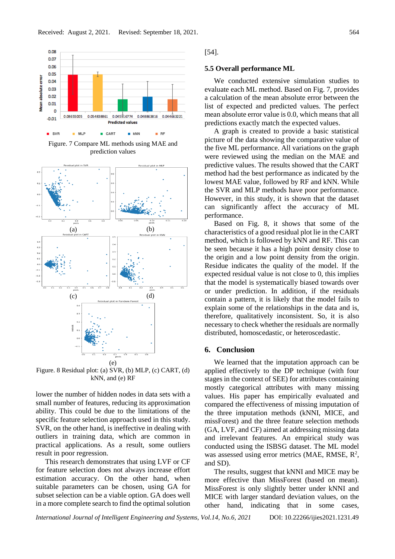

Figure. 7 Compare ML methods using MAE and prediction values



Figure. 8 Residual plot: (a) SVR, (b) MLP, (c) CART, (d) kNN, and (e) RF

lower the number of hidden nodes in data sets with a small number of features, reducing its approximation ability. This could be due to the limitations of the specific feature selection approach used in this study. SVR, on the other hand, is ineffective in dealing with outliers in training data, which are common in practical applications. As a result, some outliers result in poor regression.

This research demonstrates that using LVF or CF for feature selection does not always increase effort estimation accuracy. On the other hand, when suitable parameters can be chosen, using GA for subset selection can be a viable option. GA does well in a more complete search to find the optimal solution

[54].

### **5.5 Overall performance ML**

We conducted extensive simulation studies to evaluate each ML method. Based on Fig. 7, provides a calculation of the mean absolute error between the list of expected and predicted values. The perfect mean absolute error value is 0.0, which means that all predictions exactly match the expected values.

A graph is created to provide a basic statistical picture of the data showing the comparative value of the five ML performance. All variations on the graph were reviewed using the median on the MAE and predictive values. The results showed that the CART method had the best performance as indicated by the lowest MAE value, followed by RF and kNN. While the SVR and MLP methods have poor performance. However, in this study, it is shown that the dataset can significantly affect the accuracy of ML performance.

Based on Fig. 8, it shows that some of the characteristics of a good residual plot lie in the CART method, which is followed by kNN and RF. This can be seen because it has a high point density close to the origin and a low point density from the origin. Residue indicates the quality of the model. If the expected residual value is not close to 0, this implies that the model is systematically biased towards over or under prediction. In addition, if the residuals contain a pattern, it is likely that the model fails to explain some of the relationships in the data and is, therefore, qualitatively inconsistent. So, it is also necessary to check whether the residuals are normally distributed, homoscedastic, or heteroscedastic.

### **6. Conclusion**

We learned that the imputation approach can be applied effectively to the DP technique (with four stages in the context of SEE) for attributes containing mostly categorical attributes with many missing values. His paper has empirically evaluated and compared the effectiveness of missing imputation of the three imputation methods (kNNI, MICE, and missForest) and the three feature selection methods (GA, LVF, and CF) aimed at addressing missing data and irrelevant features. An empirical study was conducted using the ISBSG dataset. The ML model was assessed using error metrics (MAE, RMSE,  $R^2$ , and SD).

The results, suggest that kNNI and MICE may be more effective than MissForest (based on mean). MissForest is only slightly better under kNNI and MICE with larger standard deviation values, on the other hand, indicating that in some cases,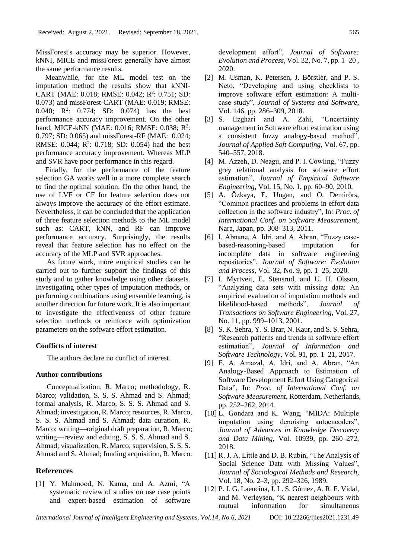MissForest's accuracy may be superior. However, kNNI, MICE and missForest generally have almost the same performance results.

Meanwhile, for the ML model test on the imputation method the results show that kNNI-CART (MAE: 0.018; RMSE: 0.042; R<sup>2</sup>: 0.751; SD: 0.073) and missForest-CART (MAE: 0.019; RMSE: 0.040;  $R^2$ : 0.774; SD: 0.074) has the best performance accuracy improvement. On the other hand, MICE-kNN (MAE: 0.016; RMSE: 0.038; R<sup>2</sup>: 0.797; SD: 0.065) and missForest-RF (MAE: 0.024; RMSE:  $0.044$ ; R<sup>2</sup>:  $0.718$ ; SD:  $0.054$ ) had the best performance accuracy improvement. Whereas MLP and SVR have poor performance in this regard.

Finally, for the performance of the feature selection GA works well in a more complete search to find the optimal solution. On the other hand, the use of LVF or CF for feature selection does not always improve the accuracy of the effort estimate. Nevertheless, it can be concluded that the application of three feature selection methods to the ML model such as: CART, kNN, and RF can improve performance accuracy. Surprisingly, the results reveal that feature selection has no effect on the accuracy of the MLP and SVR approaches.

As future work, more empirical studies can be carried out to further support the findings of this study and to gather knowledge using other datasets. Investigating other types of imputation methods, or performing combinations using ensemble learning, is another direction for future work. It is also important to investigate the effectiveness of other feature selection methods or reinforce with optimization parameters on the software effort estimation.

### **Conflicts of interest**

The authors declare no conflict of interest.

# **Author contributions**

Conceptualization, R. Marco; methodology, R. Marco; validation, S. S. S. Ahmad and S. Ahmad; formal analysis, R. Marco, S. S. S. Ahmad and S. Ahmad; investigation, R. Marco; resources, R. Marco, S. S. S. Ahmad and S. Ahmad; data curation, R. Marco; writing—original draft preparation, R. Marco; writing—review and editing, S. S. S. Ahmad and S. Ahmad; visualization, R. Marco; supervision, S. S. S. Ahmad and S. Ahmad; funding acquisition, R. Marco.

# **References**

[1] Y. Mahmood, N. Kama, and A. Azmi, "A systematic review of studies on use case points and expert-based estimation of software development effort", *Journal of Software: Evolution and Process*, Vol. 32, No. 7, pp. 1–20 , 2020.

- [2] M. Usman, K. Petersen, J. Börstler, and P. S. Neto, "Developing and using checklists to improve software effort estimation: A multicase study", *Journal of Systems and Software*, Vol. 146, pp. 286–309, 2018.
- [3] S. Ezghari and A. Zahi, "Uncertainty management in Software effort estimation using a consistent fuzzy analogy-based method", *Journal of Applied Soft Computing*, Vol. 67, pp. 540–557, 2018.
- [4] M. Azzeh, D. Neagu, and P. I. Cowling, "Fuzzy grey relational analysis for software effort estimation", *Journal of Empirical Software Engineering*, Vol. 15, No. 1, pp. 60–90, 2010.
- [5] A. Özkaya, E. Ungan, and O. Demirörs, "Common practices and problems in effort data collection in the software industry", In*: Proc. of International Conf. on Software Measurement,*  Nara, Japan, pp. 308–313, 2011.
- [6] I. Abnane, A. Idri, and A. Abran, "Fuzzy casebased-reasoning-based imputation for incomplete data in software engineering repositories", *Journal of Software: Evolution and Process*, Vol. 32, No. 9, pp. 1–25, 2020.
- [7] I. Myrtveit, E. Stensrud, and U. H. Olsson, "Analyzing data sets with missing data: An empirical evaluation of imputation methods and likelihood-based methods", *Journal of Transactions on Software Engineering*, Vol. 27, No. 11, pp. 999–1013, 2001.
- [8] S. K. Sehra, Y. S. Brar, N. Kaur, and S. S. Sehra, "Research patterns and trends in software effort estimation", *Journal of Information and Software Technology*, Vol. 91, pp. 1–21, 2017.
- [9] F. A. Amazal, A. Idri, and A. Abran, "An Analogy-Based Approach to Estimation of Software Development Effort Using Categorical Data", In*: Proc. of International Conf. on Software Measurement,* Rotterdam, Netherlands, pp. 252–262, 2014.
- [10] L. Gondara and K. Wang, "MIDA: Multiple imputation using denoising autoencoders", *Journal of Advances in Knowledge Discovery and Data Mining*, Vol. 10939, pp. 260–272, 2018.
- [11] R. J. A. Little and D. B. Rubin, "The Analysis of Social Science Data with Missing Values", *Journal of Sociological Methods and Research*, Vol. 18, No. 2–3, pp. 292–326, 1989.
- [12] P. J. G. Laencina, J. L. S. Gómez, A. R. F. Vidal, and M. Verleysen, "K nearest neighbours with mutual information for simultaneous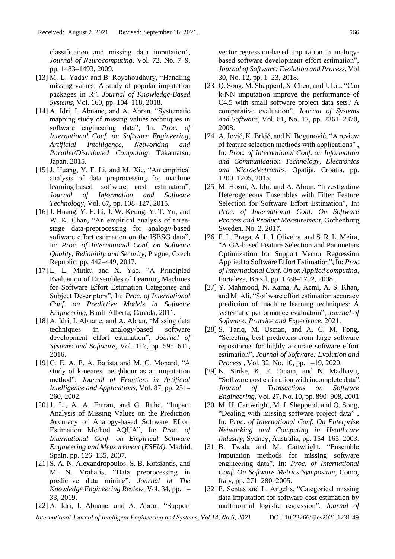classification and missing data imputation", *Journal of Neurocomputing*, Vol. 72, No. 7–9, pp. 1483–1493, 2009.

- [13] M. L. Yadav and B. Roychoudhury, "Handling missing values: A study of popular imputation packages in R", *Journal of Knowledge-Based Systems*, Vol. 160, pp. 104–118, 2018.
- [14] A. Idri, I. Abnane, and A. Abran, "Systematic mapping study of missing values techniques in software engineering data", In: *Proc. of International Conf. on Software Engineering, Artificial Intelligence, Networking and Parallel/Distributed Computing,* Takamatsu, Japan, 2015.
- [15] J. Huang, Y. F. Li, and M. Xie, "An empirical analysis of data preprocessing for machine learning-based software cost estimation", *Journal of Information and Software Technology*, Vol. 67, pp. 108–127, 2015.
- [16] J. Huang, Y. F. Li, J. W. Keung, Y. T. Yu, and W. K. Chan, "An empirical analysis of threestage data-preprocessing for analogy-based software effort estimation on the ISBSG data", In: *Proc. of International Conf. on Software Quality, Reliability and Security,* Prague, Czech Republic, pp. 442–449, 2017.
- [17] L. L. Minku and X. Yao, "A Principled Evaluation of Ensembles of Learning Machines for Software Effort Estimation Categories and Subject Descriptors", In: *Proc. of International Conf. on Predictive Models in Software Engineering,* Banff Alberta, Canada, 2011.
- [18] A. Idri, I. Abnane, and A. Abran, "Missing data techniques in analogy-based software development effort estimation", *Journal of Systems and Software*, Vol. 117, pp. 595–611, 2016.
- [19] G. E. A. P. A. Batista and M. C. Monard, "A study of k-nearest neighbour as an imputation method", *Journal of Frontiers in Artificial Intelligence and Applications*, Vol. 87, pp. 251– 260, 2002.
- [20] J. Li, A. A. Emran, and G. Ruhe, "Impact Analysis of Missing Values on the Prediction Accuracy of Analogy-based Software Effort Estimation Method AQUA", In: *Proc. of International Conf. on Empirical Software Engineering and Measurement (ESEM),* Madrid, Spain, pp. 126–135, 2007.
- [21] S. A. N. Alexandropoulos, S. B. Kotsiantis, and M. N. Vrahatis, "Data preprocessing in predictive data mining", *Journal of The Knowledge Engineering Review*, Vol. 34, pp. 1– 33, 2019.
- [22] A. Idri, I. Abnane, and A. Abran, "Support

vector regression-based imputation in analogybased software development effort estimation", *Journal of Software: Evolution and Process*, Vol. 30, No. 12, pp. 1–23, 2018.

- [23] Q. Song, M. Shepperd, X. Chen, and J. Liu, "Can k-NN imputation improve the performance of C4.5 with small software project data sets? A comparative evaluation", *Journal of Systems and Software*, Vol. 81, No. 12, pp. 2361–2370, 2008.
- [24] A. Jović, K. Brkić, and N. Bogunović, "A review of feature selection methods with applications" , In: *Proc. of International Conf. on Information and Communication Technology, Electronics and Microelectronics,* Opatija, Croatia, pp. 1200–1205, 2015.
- [25] M. Hosni, A. Idri, and A. Abran, "Investigating Heterogeneous Ensembles with Filter Feature Selection for Software Effort Estimation", In: *Proc. of International Conf. On Software Process and Product Measurement,* Gothenburg, Sweden, No. 2, 2017.
- [26] P. L. Braga, A. L. I. Oliveira, and S. R. L. Meira, "A GA-based Feature Selection and Parameters Optimization for Support Vector Regression Applied to Software Effort Estimation", In: *Proc. of International Conf. On on Applied computing,* Fortaleza, Brazil, pp. 1788–1792, 2008..
- [27] Y. Mahmood, N. Kama, A. Azmi, A. S. Khan, and M. Ali, "Software effort estimation accuracy prediction of machine learning techniques: A systematic performance evaluation", *Journal of Software: Practice and Experience*, 2021.
- [28] S. Tariq, M. Usman, and A. C. M. Fong, "Selecting best predictors from large software repositories for highly accurate software effort estimation", *Journal of Software: Evolution and Process* , Vol. 32, No. 10, pp. 1–19, 2020.
- [29] K. Strike, K. E. Emam, and N. Madhavji, "Software cost estimation with incomplete data", *Journal of Transactions on Software Engineering*, Vol. 27, No. 10, pp. 890–908, 2001.
- [30] M. H. Cartwright, M. J. Shepperd, and Q. Song, "Dealing with missing software project data" , In: *Proc. of International Conf. On Enterprise Networking and Computing in Healthcare Industry,* Sydney, Australia, pp. 154–165, 2003.
- [31] B. Twala and M. Cartwright, "Ensemble imputation methods for missing software engineering data", In: *Proc. of International Conf. On Software Metrics Symposium,* Como, Italy, pp. 271–280, 2005.
- [32] P. Sentas and L. Angelis, "Categorical missing data imputation for software cost estimation by multinomial logistic regression", *Journal of*